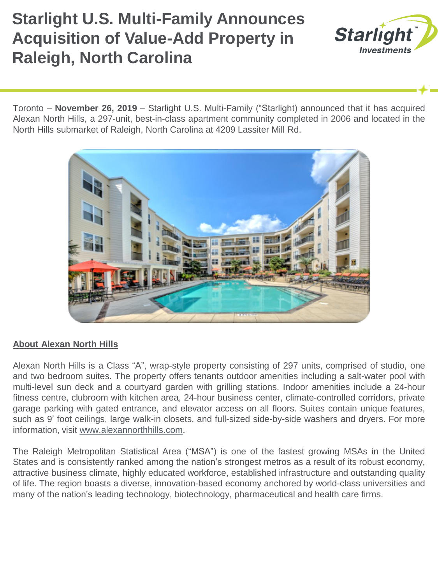## **Starlight U.S. Multi-Family Announces Acquisition of Value-Add Property in Raleigh, North Carolina**



Toronto – **November 26, 2019** – Starlight U.S. Multi-Family ("Starlight) announced that it has acquired Alexan North Hills, a 297-unit, best-in-class apartment community completed in 2006 and located in the North Hills submarket of Raleigh, North Carolina at 4209 Lassiter Mill Rd.



## **About Alexan North Hills**

Alexan North Hills is a Class "A", wrap-style property consisting of 297 units, comprised of studio, one and two bedroom suites. The property offers tenants outdoor amenities including a salt-water pool with multi-level sun deck and a courtyard garden with grilling stations. Indoor amenities include a 24-hour fitness centre, clubroom with kitchen area, 24-hour business center, climate-controlled corridors, private garage parking with gated entrance, and elevator access on all floors. Suites contain unique features, such as 9' foot ceilings, large walk-in closets, and full-sized side-by-side washers and dryers. For more information, visit [www.alexannorthhills.com](http://www.alexannorthhills.com/).

The Raleigh Metropolitan Statistical Area ("MSA") is one of the fastest growing MSAs in the United States and is consistently ranked among the nation's strongest metros as a result of its robust economy, attractive business climate, highly educated workforce, established infrastructure and outstanding quality of life. The region boasts a diverse, innovation-based economy anchored by world-class universities and many of the nation's leading technology, biotechnology, pharmaceutical and health care firms.